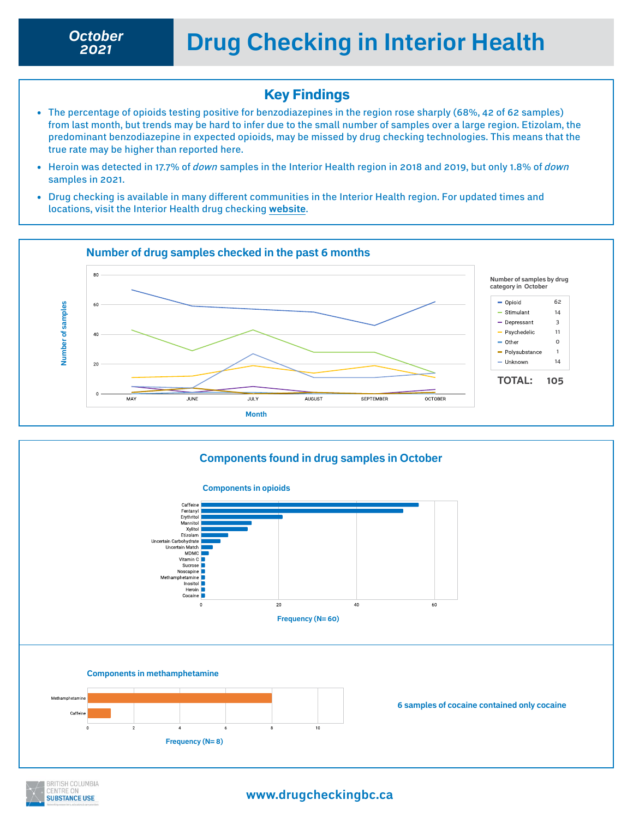*2021*

## Key Findings

- The percentage of opioids testing positive for benzodiazepines in the region rose sharply (68%, 42 of 62 samples) from last month, but trends may be hard to infer due to the small number of samples over a large region. Etizolam, the predominant benzodiazepine in expected opioids, may be missed by drug checking technologies. This means that the true rate may be higher than reported here.
- Heroin was detected in 17.7% of *down* samples in the Interior Health region in 2018 and 2019, but only 1.8% of *down* samples in 2021.
- Drug checking is available in many different communities in the Interior Health region. For updated times and locations, visit the Interior Health drug checking **[website](https://www.drugchecking.ca)**.





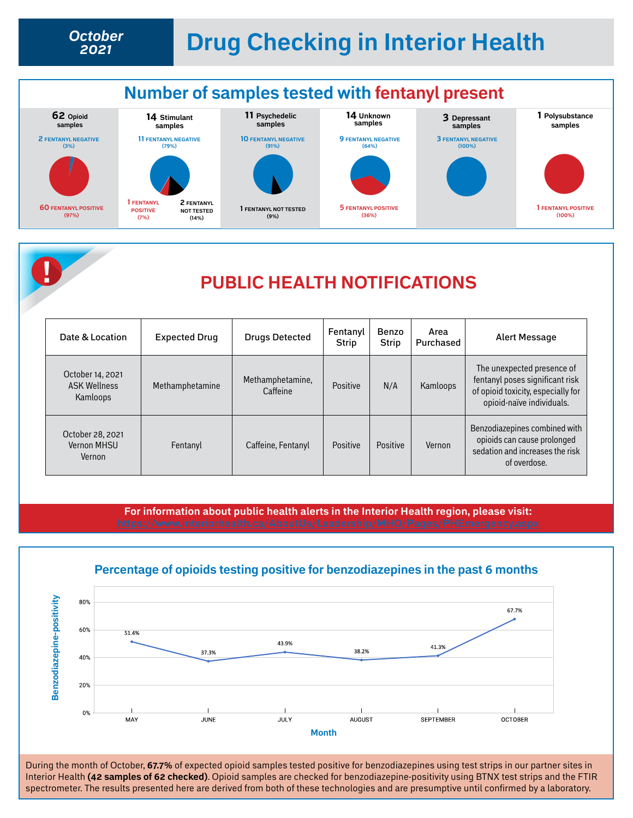## **Drug Checking in Interior Health** *October*





## **! PUBLIC HEALTH NOTIFICATIONS**

| Date & Location                                     | <b>Expected Drug</b> | <b>Drugs Detected</b>        | Fentanyl<br><b>Strip</b> | Benzo<br><b>Strip</b> | Area<br>Purchased | Alert Message                                                                                                                    |
|-----------------------------------------------------|----------------------|------------------------------|--------------------------|-----------------------|-------------------|----------------------------------------------------------------------------------------------------------------------------------|
| October 14, 2021<br><b>ASK Wellness</b><br>Kamloops | Methamphetamine      | Methamphetamine,<br>Caffeine | Positive                 | N/A                   | Kamloops          | The unexpected presence of<br>fentanyl poses significant risk<br>of opioid toxicity, especially for<br>opioid-naïve individuals. |
| October 28, 2021<br><b>Vernon MHSU</b><br>Vernon    | Fentanyl             | Caffeine, Fentanyl           | Positive                 | Positive              | Vernon            | Benzodiazepines combined with<br>opioids can cause prolonged<br>sedation and increases the risk<br>of overdose.                  |

**For information about public health alerts in the Interior Health region, please visit:** 



During the month of October, **67.7%** of expected opioid samples tested positive for benzodiazepines using test strips in our partner sites in Interior Health **(42 samples of 62 checked)**. Opioid samples are checked for benzodiazepine-positivity using BTNX test strips and the FTIR spectrometer. The results presented here are derived from both of these technologies and are presumptive until confirmed by a laboratory.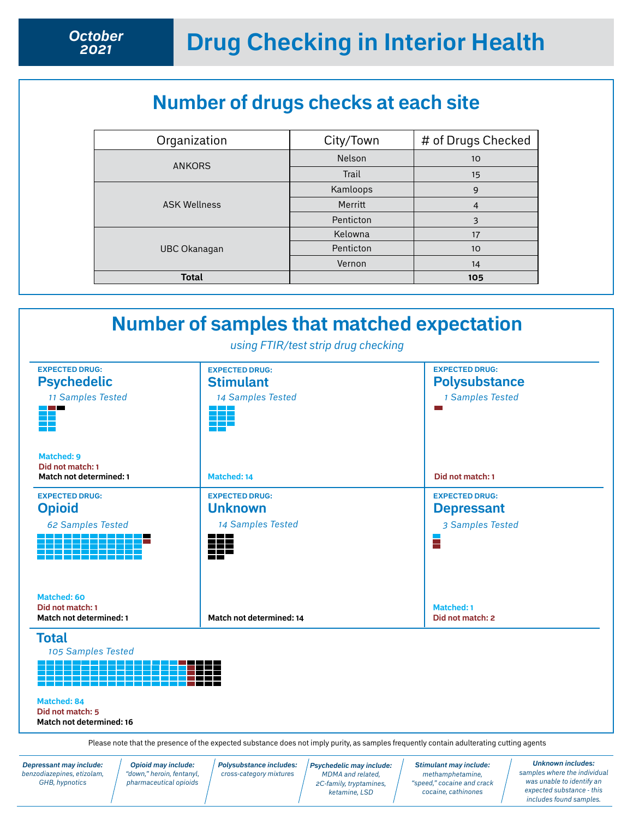## **Number of drugs checks at each site**

| Organization        | City/Town | # of Drugs Checked |
|---------------------|-----------|--------------------|
| <b>ANKORS</b>       | Nelson    | 10                 |
|                     | Trail     | 15                 |
|                     | Kamloops  | 9                  |
| <b>ASK Wellness</b> | Merritt   | $\overline{4}$     |
|                     | Penticton | 3                  |
|                     | Kelowna   | 17                 |
| <b>UBC Okanagan</b> | Penticton | 10 <sup>°</sup>    |
|                     | Vernon    | 14                 |
| <b>Total</b>        |           | 105                |

| <b>EXPECTED DRUG:</b><br><b>Psychedelic</b><br>11 Samples Tested   | <b>EXPECTED DRUG:</b><br><b>Stimulant</b><br>14 Samples Tested                                             | <b>EXPECTED DRUG:</b><br><b>Polysubstance</b><br>1 Samples Tested   |  |
|--------------------------------------------------------------------|------------------------------------------------------------------------------------------------------------|---------------------------------------------------------------------|--|
| Matched: 9<br>Did not match: 1<br><b>Match not determined: 1</b>   | Matched: 14                                                                                                | Did not match: 1                                                    |  |
| <b>EXPECTED DRUG:</b><br><b>Opioid</b><br><b>62 Samples Tested</b> | <b>EXPECTED DRUG:</b><br><b>Unknown</b><br>14 Samples Tested<br><u>and and an</u><br>222<br>and the second | <b>EXPECTED DRUG:</b><br><b>Depressant</b><br>3 Samples Tested<br>Ξ |  |
| Matched: 60<br>Did not match: 1<br><b>Match not determined: 1</b>  | Match not determined: 14                                                                                   | <b>Matched: 1</b><br>Did not match: 2                               |  |

*Depressant may include: benzodiazepines, etizolam, GHB, hypnotics*

*Opioid may include: "down," heroin, fentanyl, pharmaceutical opioids* *Polysubstance includes: cross-category mixtures*

*Psychedelic may include: MDMA and related, 2C-family, tryptamines, ketamine, LSD* 

*Stimulant may include: methamphetamine, "speed," cocaine and crack cocaine, cathinones*

*Unknown includes: samples where the individual was unable to identify an expected substance - this includes found samples.*